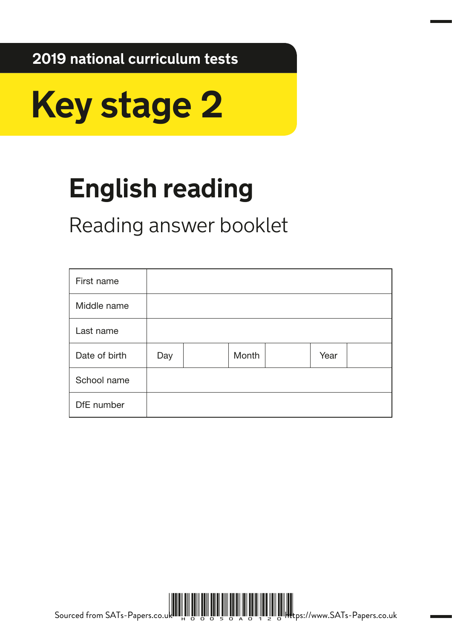**2019 national curriculum tests**



# **English reading**

Reading answer booklet

| First name    |     |       |      |  |
|---------------|-----|-------|------|--|
| Middle name   |     |       |      |  |
| Last name     |     |       |      |  |
| Date of birth | Day | Month | Year |  |
| School name   |     |       |      |  |
| DfE number    |     |       |      |  |



Sourced from SATs-Papers.co.uk الله العامل العامل العامل العامل العامل العامل العامل العامل العامل العامل العامل العامل العامل العامل العاملي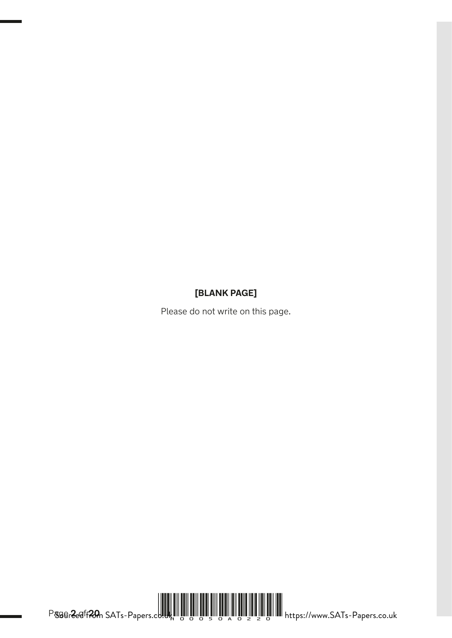### **[BLANK PAGE]**

Please do not write on this page.



Page **2** of **20**  Sourced from SATs-Papers.co.uk H00050A0220 https://www.SATs-Papers.co.uk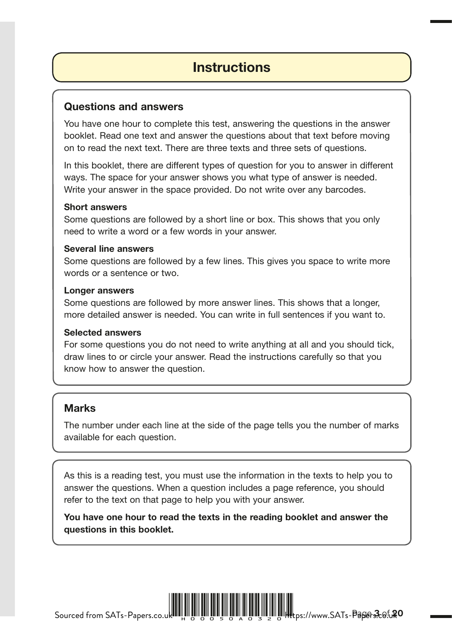# **Instructions**

### Questions and answers

You have one hour to complete this test, answering the questions in the answer booklet. Read one text and answer the questions about that text before moving on to read the next text. There are three texts and three sets of questions.

In this booklet, there are different types of question for you to answer in different ways. The space for your answer shows you what type of answer is needed. Write your answer in the space provided. Do not write over any barcodes.

#### Short answers

Some questions are followed by a short line or box. This shows that you only need to write a word or a few words in your answer.

#### Several line answers

Some questions are followed by a few lines. This gives you space to write more words or a sentence or two.

#### Longer answers

Some questions are followed by more answer lines. This shows that a longer, more detailed answer is needed. You can write in full sentences if you want to.

#### Selected answers

For some questions you do not need to write anything at all and you should tick, draw lines to or circle your answer. Read the instructions carefully so that you know how to answer the question.

### **Marks**

The number under each line at the side of the page tells you the number of marks available for each question.

As this is a reading test, you must use the information in the texts to help you to answer the questions. When a question includes a page reference, you should refer to the text on that page to help you with your answer.

You have one hour to read the texts in the reading booklet and answer the questions in this booklet.

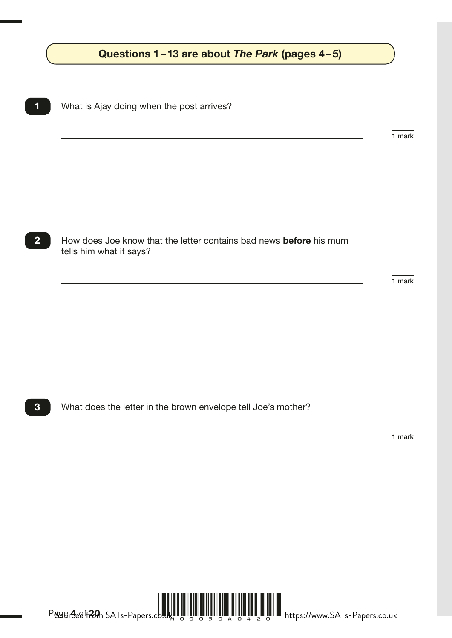## Questions 1–13 are about *The Park* (pages 4–5) **Rowland Billion**

1 What is Ajay doing when the post arrives?

1 mark

**2** How does Joe know that the letter contains bad news **before** his mum tells him what it says?

1 mark

**3** What does the letter in the brown envelope tell Joe's mother?

1 mark



Page **4** of **20**  Sourced from SATs-Papers.co.uk H00050A0420 https://www.SATs-Papers.co.uk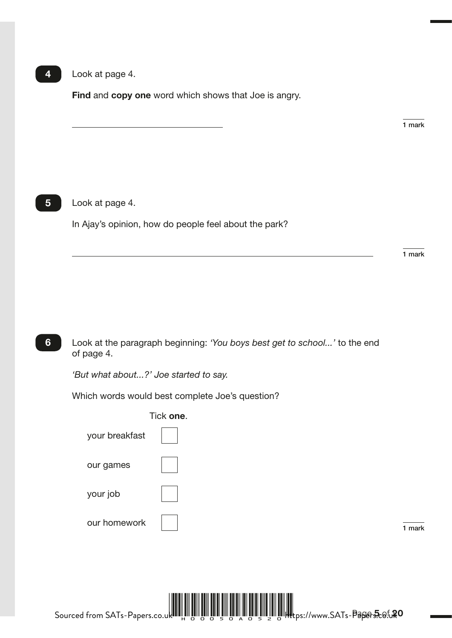#### 4 Look at page 4.

Find and copy one word which shows that Joe is angry.

1 mark

#### 5 **Look at page 4.**

In Ajay's opinion, how do people feel about the park?

1 mark

6 Look at the paragraph beginning: *'You boys best get to school...'* to the end of page 4.

*'But what about...?' Joe started to say.* 

Which words would best complete Joe's question?

|                | Tick one. |        |
|----------------|-----------|--------|
| your breakfast |           |        |
| our games      |           |        |
| your job       |           |        |
| our homework   |           | 1 mark |

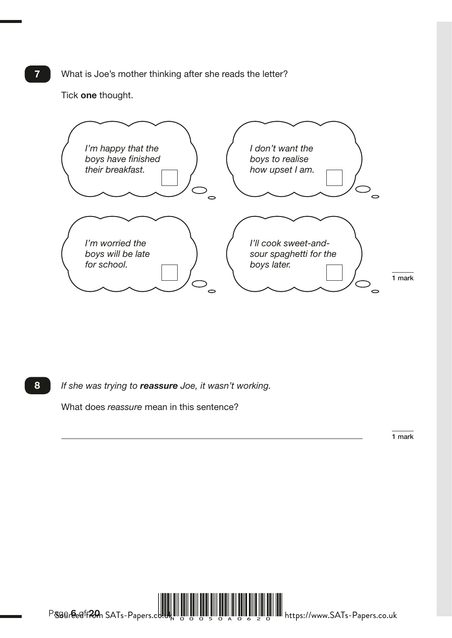**7** What is Joe's mother thinking after she reads the letter?

Tick one thought.



8 *If she was trying to reassure Joe, it wasn't working.* 

What does *reassure* mean in this sentence?

1 mark



Page **6** of **20**  Sourced from SATs-Papers.co.uk H00050A0620 https://www.SATs-Papers.co.uk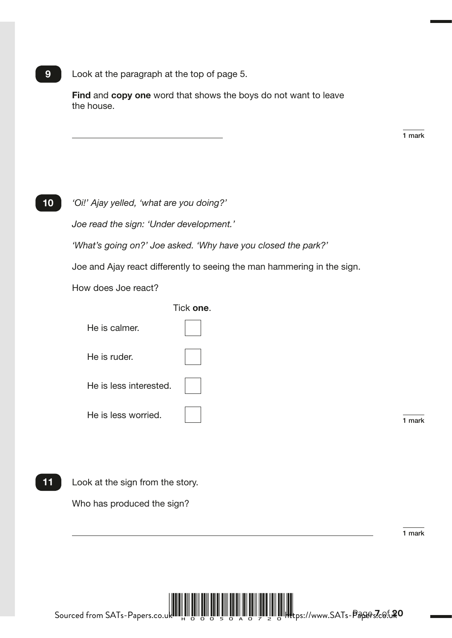9 Look at the paragraph at the top of page 5.

Find and copy one word that shows the boys do not want to leave the house.

1 mark

10 *'Oi!' Ajay yelled, 'what are you doing?'* 

*Joe read the sign: 'Under development.'* 

*'What's going on?' Joe asked. 'Why have you closed the park?'* 

Joe and Ajay react differently to seeing the man hammering in the sign.

How does Joe react?

Tick one.

| He is calmer.          |      |
|------------------------|------|
| He is ruder.           |      |
| He is less interested. |      |
| He is less worried.    | mark |

11 Look at the sign from the story.

Who has produced the sign?

1 mark

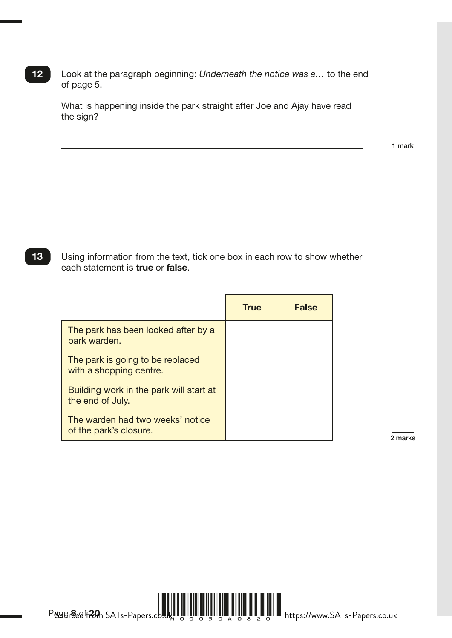12 Look at the paragraph beginning: *Underneath the notice was a…* to the end of page 5.

What is happening inside the park straight after Joe and Ajay have read the sign?

1 mark

13 Using information from the text, tick one box in each row to show whether each statement is true or false.

|                                                             | <b>True</b> | <b>False</b> |
|-------------------------------------------------------------|-------------|--------------|
| The park has been looked after by a<br>park warden.         |             |              |
| The park is going to be replaced<br>with a shopping centre. |             |              |
| Building work in the park will start at<br>the end of July. |             |              |
| The warden had two weeks' notice<br>of the park's closure.  |             |              |

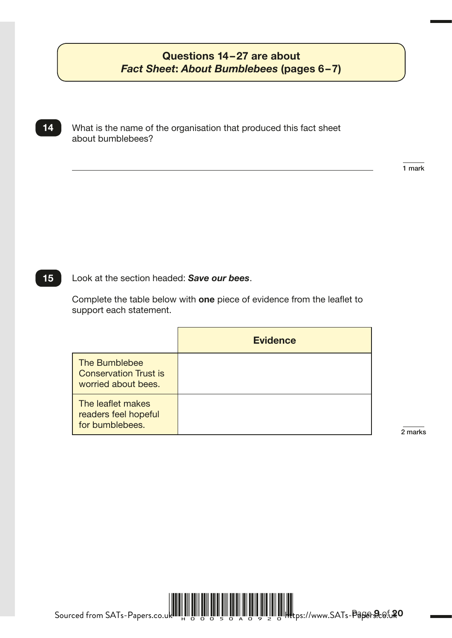### Questions 14–27 are about *Fact Sheet*: *About Bumblebees* (pages 6–7)

14 What is the name of the organisation that produced this fact sheet about bumblebees?

R027560 – 11 October 2018 11:07 AM – Version 1

15 Look at the section headed: *Save our bees*.

Complete the table below with one piece of evidence from the leaflet to support each statement.

|                                                                      | <b>Evidence</b> |
|----------------------------------------------------------------------|-----------------|
| The Bumblebee<br><b>Conservation Trust is</b><br>worried about bees. |                 |
| The leaflet makes<br>readers feel hopeful<br>for bumblebees.         |                 |

2 marks

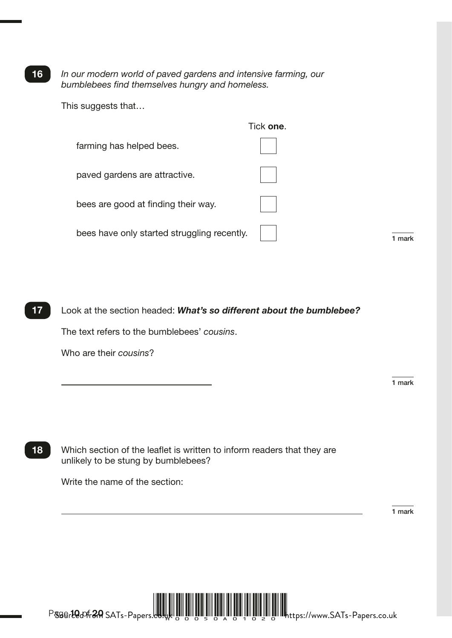16 *In our modern world of paved gardens and intensive farming, our bumblebees find themselves hungry and homeless.* 

This suggests that…

|                                             | Tick one. |        |
|---------------------------------------------|-----------|--------|
| farming has helped bees.                    |           |        |
| paved gardens are attractive.               |           |        |
| bees are good at finding their way.         |           |        |
| bees have only started struggling recently. |           | 1 mark |

17 Look at the section headed: *What's so different about the bumblebee?* The text refers to the bumblebees' *cousins*.

Who are their *cousins*?

1 mark

18 Which section of the leaflet is written to inform readers that they are unlikely to be stung by bumblebees?

Write the name of the section:

1 mark



Page **10** of **20**  KS2 item template version 2.2 (2017) Sourced from SATs-Papers.co.uk H00050A01020 https://www.SATs-Papers.co.uk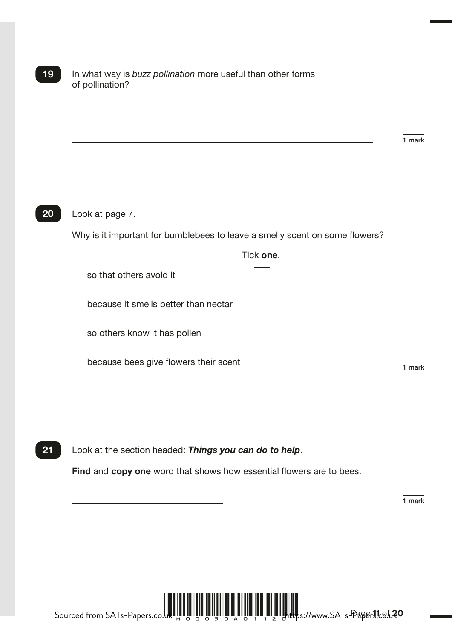19 In what way is *buzz pollination* more useful than other forms of pollination?

 $1$  mark

#### 20 Look at page 7.

Why is it important for bumblebees to leave a smelly scent on some flowers?

|                                       | Tick <b>one</b> . |      |
|---------------------------------------|-------------------|------|
| so that others avoid it               |                   |      |
| because it smells better than nectar  |                   |      |
| so others know it has pollen          |                   |      |
| because bees give flowers their scent |                   | mark |

21 Look at the section headed: *Things you can do to help*.

Find and copy one word that shows how essential flowers are to bees.

1 mark



Page **11** of **20**  Sourced from SATs-Papers.co.uk H00050A01120 https://www.SATs-Papers.co.uk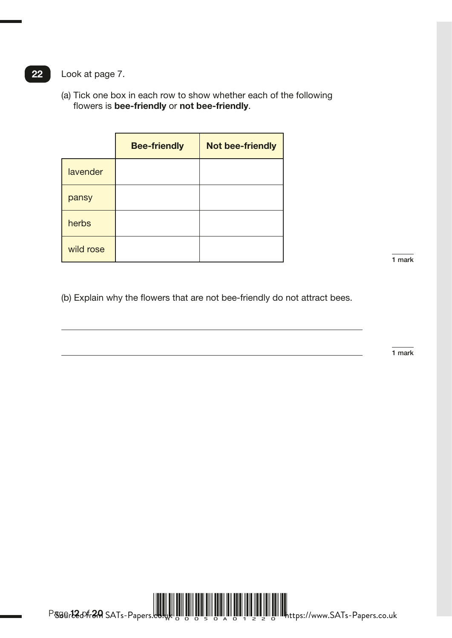22 Look at page 7.

(a) Tick one box in each row to show whether each of the following flowers is bee-friendly or not bee-friendly.

|           | <b>Bee-friendly</b> | <b>Not bee-friendly</b> |
|-----------|---------------------|-------------------------|
| lavender  |                     |                         |
| pansy     |                     |                         |
| herbs     |                     |                         |
| wild rose |                     |                         |

 $1$  mark

(b) Explain why the flowers that are not bee-friendly do not attract bees.

1 mark

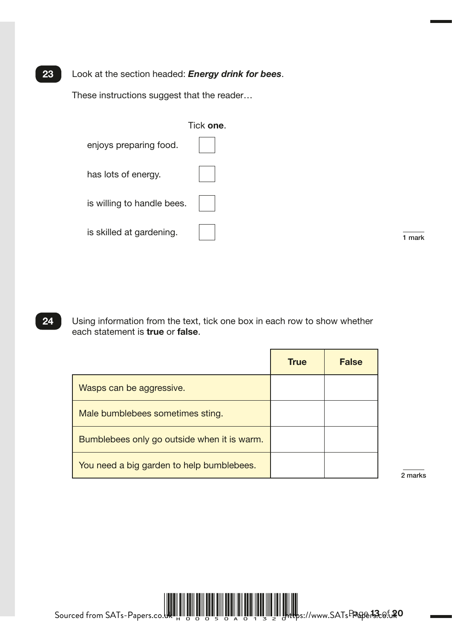#### 23 Look at the section headed: *Energy drink for bees*.

These instructions suggest that the reader…

|                            | Tick one. |      |
|----------------------------|-----------|------|
| enjoys preparing food.     |           |      |
| has lots of energy.        |           |      |
| is willing to handle bees. |           |      |
| is skilled at gardening.   |           | mark |

24 Using information from the text, tick one box in each row to show whether each statement is true or false.

|                                             | <b>True</b> | <b>False</b> |
|---------------------------------------------|-------------|--------------|
| Wasps can be aggressive.                    |             |              |
| Male bumblebees sometimes sting.            |             |              |
| Bumblebees only go outside when it is warm. |             |              |
| You need a big garden to help bumblebees.   |             |              |

2 marks

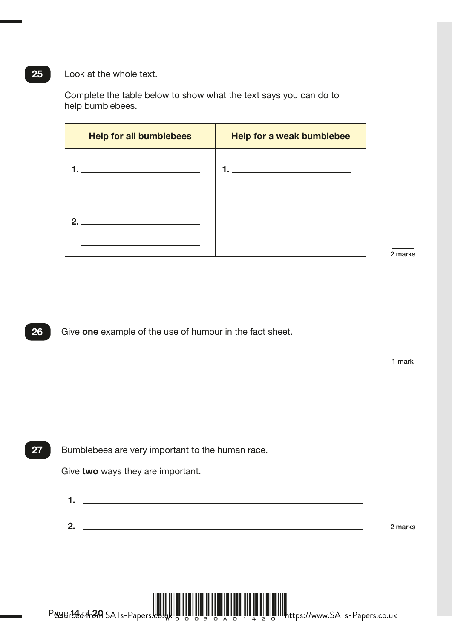#### 25 Look at the whole text.

Complete the table below to show what the text says you can do to help bumblebees.

| <b>Help for all bumblebees</b> | Help for a weak bumblebee |
|--------------------------------|---------------------------|
|                                |                           |
|                                |                           |
| C                              |                           |
|                                |                           |

2 marks

26 Give one example of the use of humour in the fact sheet.

1 mark

27 Bumblebees are very important to the human race.

Give two ways they are important.

| . . |           |
|-----|-----------|
|     |           |
|     |           |
| c   | $2$ marks |
|     |           |



Page **14** of **20**  KS2 item arithmetic template version 2.1 (2017) Sourced from SATs-Papers.co.uk H00050A01420 https://www.SATs-Papers.co.uk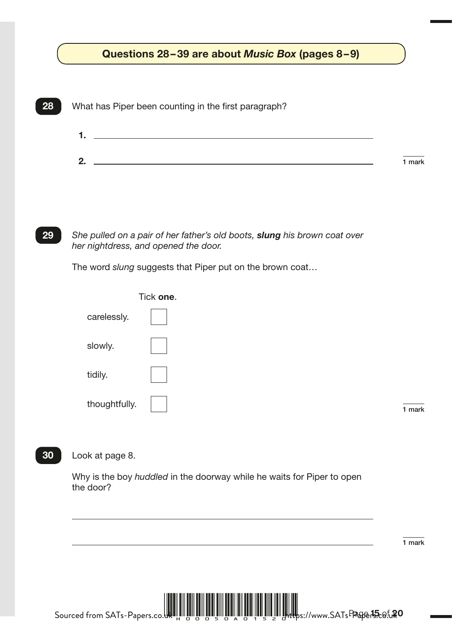# Questions 28–39 are about *Music Box* (pages 8–9)  $\qquad \qquad \int$



29 *She pulled on a pair of her father's old boots, slung his brown coat over her nightdress, and opened the door.* 

The word *slung* suggests that Piper put on the brown coat…

|               | Tick one. |        |
|---------------|-----------|--------|
| carelessly.   |           |        |
| slowly.       |           |        |
| tidily.       |           |        |
| thoughtfully. |           | 1 mark |

1 mark

#### 30 Look at page 8.

Why is the boy *huddled* in the doorway while he waits for Piper to open the door?

1 mark

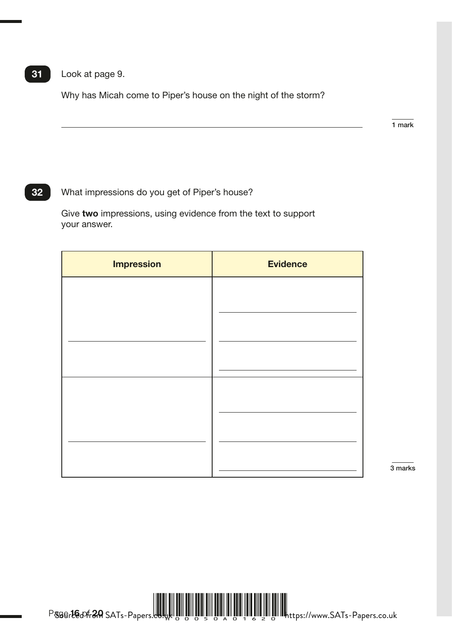### 31 Look at page 9.

Why has Micah come to Piper's house on the night of the storm?

1 mark

### 32 What impressions do you get of Piper's house?

Give two impressions, using evidence from the text to support your answer.

| <b>Impression</b> | <b>Evidence</b> |
|-------------------|-----------------|
|                   |                 |
|                   |                 |
|                   |                 |
|                   |                 |
|                   |                 |
|                   |                 |
|                   |                 |
|                   |                 |

3 marks

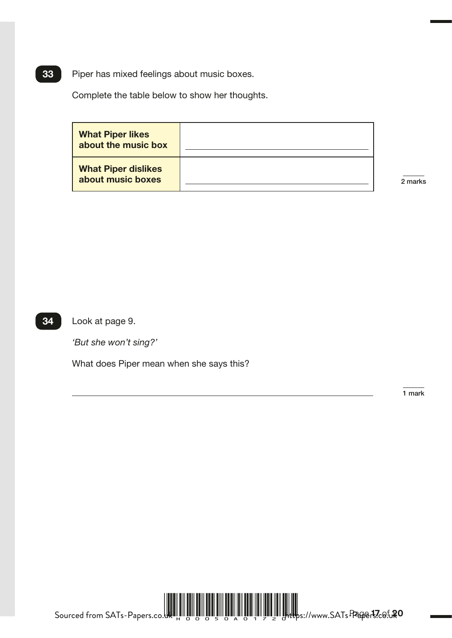**33** Piper has mixed feelings about music boxes.

Complete the table below to show her thoughts.

| <b>What Piper likes</b><br>about the music box  |         |
|-------------------------------------------------|---------|
| <b>What Piper dislikes</b><br>about music boxes | 2 marks |

34 Look at page 9.

*'But she won't sing?'* 

What does Piper mean when she says this?

1 mark



Page **17** of **20**  Sourced from SATs-Papers.co.uk H00050A01720 https://www.SATs-Papers.co.uk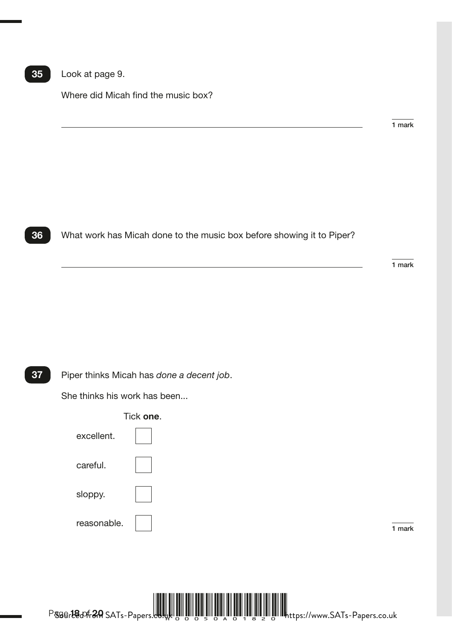### 35 Look at page 9.

Where did Micah find the music box?

1 mark



36 What work has Micah done to the music box before showing it to Piper?

1 mark

37 Piper thinks Micah has *done a decent job*.

She thinks his work has been...



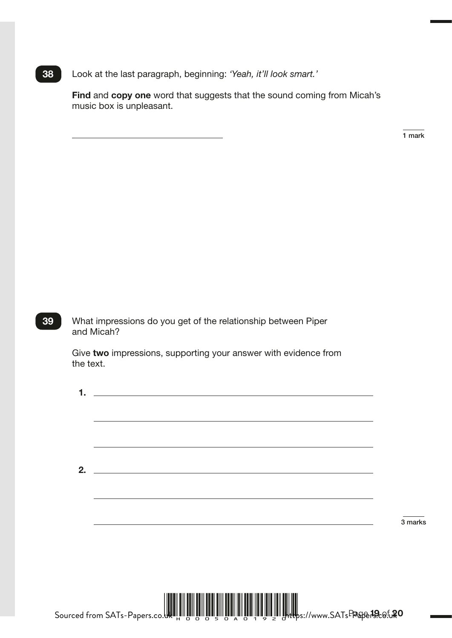38 Look at the last paragraph, beginning: *'Yeah, it'll look smart.'*

Find and copy one word that suggests that the sound coming from Micah's music box is unpleasant.

1 mark

39 What impressions do you get of the relationship between Piper and Micah?

> Give two impressions, supporting your answer with evidence from the text.

| 1. | <u> 1989 - Johann Barn, amerikansk politiker (d. 1989)</u> |         |
|----|------------------------------------------------------------|---------|
|    |                                                            |         |
|    |                                                            |         |
|    |                                                            |         |
|    |                                                            |         |
|    |                                                            |         |
|    |                                                            |         |
| 2. |                                                            |         |
|    |                                                            |         |
|    |                                                            |         |
|    |                                                            |         |
|    |                                                            | 3 marks |
|    |                                                            |         |
|    |                                                            |         |
|    |                                                            |         |